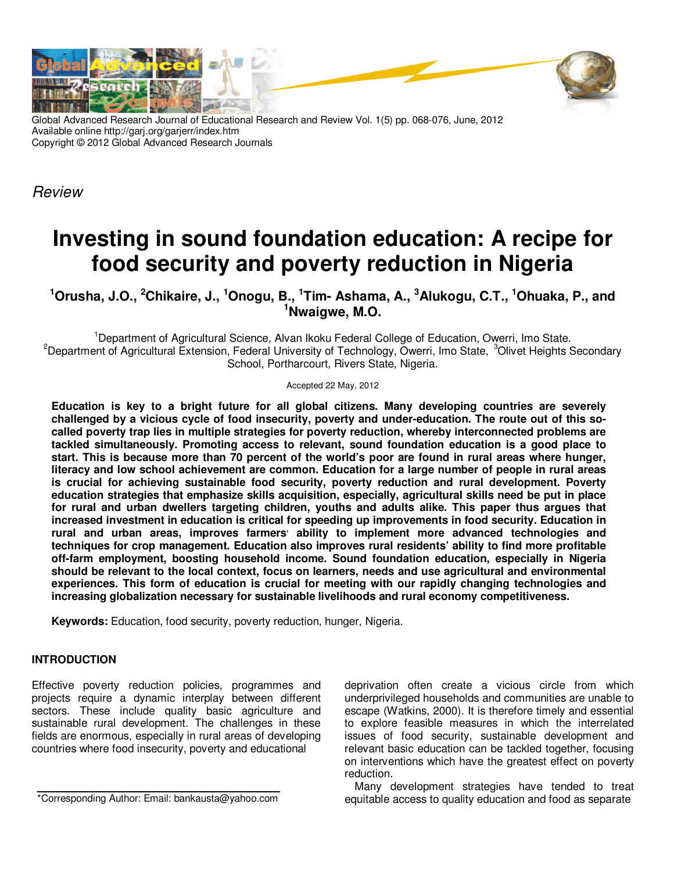

Global Advanced Research Journal of Educational Research and Review Vol. 1(5) pp. 068-076, June, 2012 Available online http://garj.org/garjerr/index.htm Copyright © 2012 Global Advanced Research Journals

Review

# **Investing in sound foundation education: A recipe for food security and poverty reduction in Nigeria**

**<sup>1</sup>Orusha, J.O., <sup>2</sup>Chikaire, J., <sup>1</sup>Onogu, B., <sup>1</sup> Tim- Ashama, A., <sup>3</sup>Alukogu, C.T., <sup>1</sup>Ohuaka, P., and <sup>1</sup>Nwaigwe, M.O.** 

<sup>1</sup>Department of Agricultural Science, Alvan Ikoku Federal College of Education, Owerri, Imo State. <sup>2</sup>Department of Agricultural Extension, Federal University of Technology, Owerri, Imo State, <sup>3</sup>Olivet Heights Secondary School, Portharcourt, Rivers State, Nigeria.

Accepted 22 May, 2012

**Education is key to a bright future for all global citizens. Many developing countries are severely challenged by a vicious cycle of food insecurity, poverty and under-education. The route out of this socalled poverty trap lies in multiple strategies for poverty reduction, whereby interconnected problems are tackled simultaneously. Promoting access to relevant, sound foundation education is a good place to start. This is because more than 70 percent of the world's poor are found in rural areas where hunger, literacy and low school achievement are common. Education for a large number of people in rural areas is crucial for achieving sustainable food security, poverty reduction and rural development. Poverty education strategies that emphasize skills acquisition, especially, agricultural skills need be put in place for rural and urban dwellers targeting children, youths and adults alike. This paper thus argues that increased investment in education is critical for speeding up improvements in food security. Education in**  rural and urban areas, improves farmers' ability to implement more advanced technologies and **techniques for crop management. Education also improves rural residents' ability to find more profitable off-farm employment, boosting household income. Sound foundation education, especially in Nigeria should be relevant to the local context, focus on learners, needs and use agricultural and environmental experiences. This form of education is crucial for meeting with our rapidly changing technologies and increasing globalization necessary for sustainable livelihoods and rural economy competitiveness.** 

**Keywords:** Education, food security, poverty reduction, hunger, Nigeria.

# **INTRODUCTION**

Effective poverty reduction policies, programmes and projects require a dynamic interplay between different sectors. These include quality basic agriculture and sustainable rural development. The challenges in these fields are enormous, especially in rural areas of developing countries where food insecurity, poverty and educational

\*Corresponding Author: Email: bankausta@yahoo.com

deprivation often create a vicious circle from which underprivileged households and communities are unable to escape (Watkins, 2000). It is therefore timely and essential to explore feasible measures in which the interrelated issues of food security, sustainable development and relevant basic education can be tackled together, focusing on interventions which have the greatest effect on poverty reduction.

Many development strategies have tended to treat equitable access to quality education and food as separate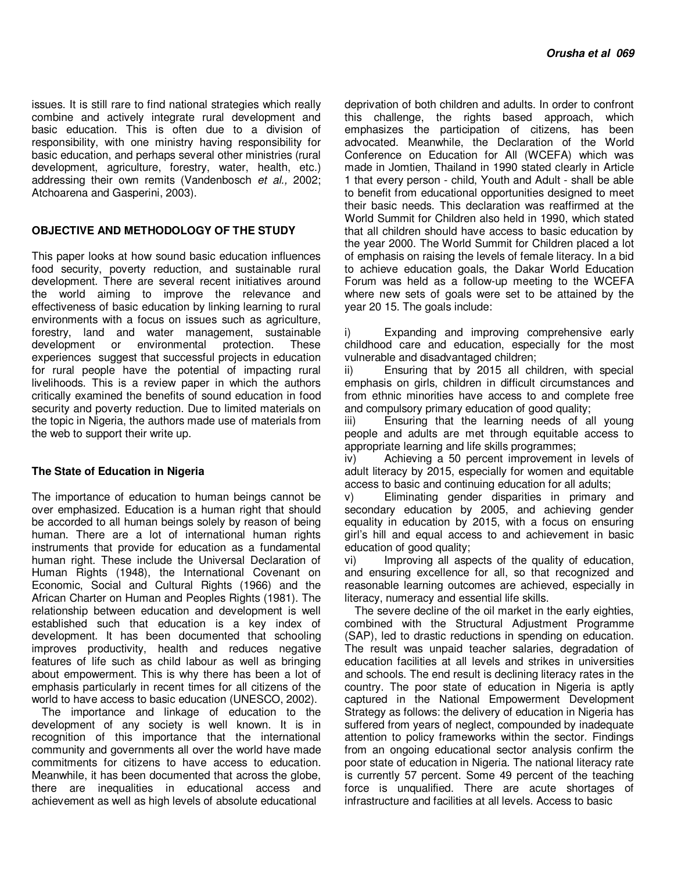issues. It is still rare to find national strategies which really combine and actively integrate rural development and basic education. This is often due to a division of responsibility, with one ministry having responsibility for basic education, and perhaps several other ministries (rural development, agriculture, forestry, water, health, etc.) addressing their own remits (Vandenbosch et al., 2002; Atchoarena and Gasperini, 2003).

### **OBJECTIVE AND METHODOLOGY OF THE STUDY**

This paper looks at how sound basic education influences food security, poverty reduction, and sustainable rural development. There are several recent initiatives around the world aiming to improve the relevance and effectiveness of basic education by linking learning to rural environments with a focus on issues such as agriculture, forestry, land and water management, sustainable<br>development or environmental protection. These development or environmental protection. experiences suggest that successful projects in education for rural people have the potential of impacting rural livelihoods. This is a review paper in which the authors critically examined the benefits of sound education in food security and poverty reduction. Due to limited materials on the topic in Nigeria, the authors made use of materials from the web to support their write up.

#### **The State of Education in Nigeria**

The importance of education to human beings cannot be over emphasized. Education is a human right that should be accorded to all human beings solely by reason of being human. There are a lot of international human rights instruments that provide for education as a fundamental human right. These include the Universal Declaration of Human Rights (1948), the International Covenant on Economic, Social and Cultural Rights (1966) and the African Charter on Human and Peoples Rights (1981). The relationship between education and development is well established such that education is a key index of development. It has been documented that schooling improves productivity, health and reduces negative features of life such as child labour as well as bringing about empowerment. This is why there has been a lot of emphasis particularly in recent times for all citizens of the world to have access to basic education (UNESCO, 2002).

The importance and linkage of education to the development of any society is well known. It is in recognition of this importance that the international community and governments all over the world have made commitments for citizens to have access to education. Meanwhile, it has been documented that across the globe, there are inequalities in educational access and achievement as well as high levels of absolute educational

deprivation of both children and adults. In order to confront this challenge, the rights based approach, which emphasizes the participation of citizens, has been advocated. Meanwhile, the Declaration of the World Conference on Education for All (WCEFA) which was made in Jomtien, Thailand in 1990 stated clearly in Article 1 that every person - child, Youth and Adult - shall be able to benefit from educational opportunities designed to meet their basic needs. This declaration was reaffirmed at the World Summit for Children also held in 1990, which stated that all children should have access to basic education by the year 2000. The World Summit for Children placed a lot of emphasis on raising the levels of female literacy. In a bid to achieve education goals, the Dakar World Education Forum was held as a follow-up meeting to the WCEFA where new sets of goals were set to be attained by the year 20 15. The goals include:

i) Expanding and improving comprehensive early childhood care and education, especially for the most vulnerable and disadvantaged children;

ii) Ensuring that by 2015 all children, with special emphasis on girls, children in difficult circumstances and from ethnic minorities have access to and complete free and compulsory primary education of good quality;

iii) Ensuring that the learning needs of all young people and adults are met through equitable access to appropriate learning and life skills programmes;

iv) Achieving a 50 percent improvement in levels of adult literacy by 2015, especially for women and equitable access to basic and continuing education for all adults;

v) Eliminating gender disparities in primary and secondary education by 2005, and achieving gender equality in education by 2015, with a focus on ensuring girl's hill and equal access to and achievement in basic education of good quality;

vi) Improving all aspects of the quality of education, and ensuring excellence for all, so that recognized and reasonable learning outcomes are achieved, especially in literacy, numeracy and essential life skills.

The severe decline of the oil market in the early eighties, combined with the Structural Adjustment Programme (SAP), led to drastic reductions in spending on education. The result was unpaid teacher salaries, degradation of education facilities at all levels and strikes in universities and schools. The end result is declining literacy rates in the country. The poor state of education in Nigeria is aptly captured in the National Empowerment Development Strategy as follows: the delivery of education in Nigeria has suffered from years of neglect, compounded by inadequate attention to policy frameworks within the sector. Findings from an ongoing educational sector analysis confirm the poor state of education in Nigeria. The national literacy rate is currently 57 percent. Some 49 percent of the teaching force is unqualified. There are acute shortages of infrastructure and facilities at all levels. Access to basic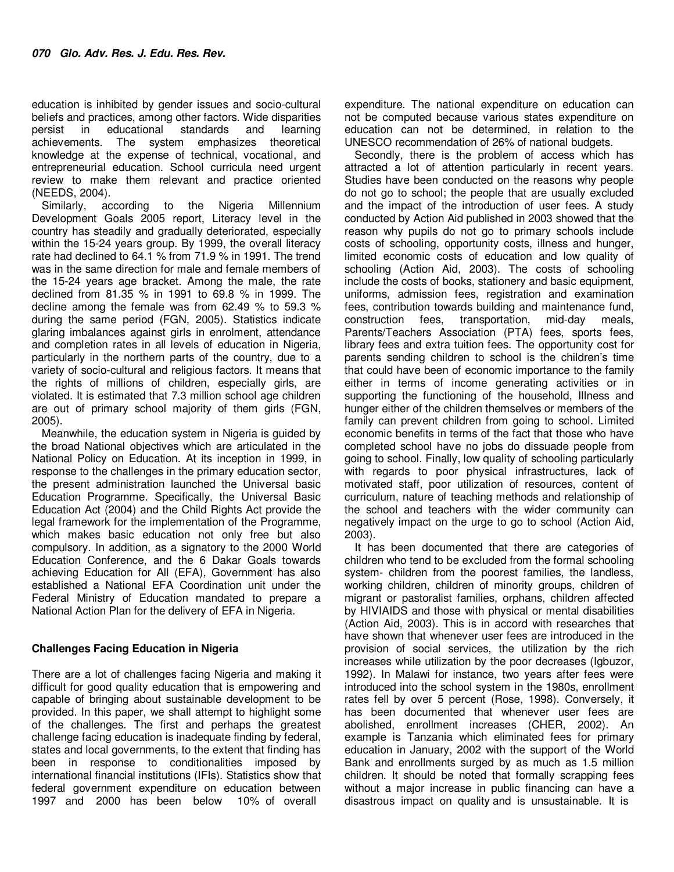education is inhibited by gender issues and socio-cultural beliefs and practices, among other factors. Wide disparities persist in educational standards and learning achievements. The system emphasizes theoretical knowledge at the expense of technical, vocational, and entrepreneurial education. School curricula need urgent review to make them relevant and practice oriented (NEEDS, 2004).

Similarly, according to the Nigeria Millennium Development Goals 2005 report, Literacy level in the country has steadily and gradually deteriorated, especially within the 15-24 years group. By 1999, the overall literacy rate had declined to 64.1 % from 71.9 % in 1991. The trend was in the same direction for male and female members of the 15-24 years age bracket. Among the male, the rate declined from 81.35 % in 1991 to 69.8 % in 1999. The decline among the female was from 62.49 % to 59.3 % during the same period (FGN, 2005). Statistics indicate glaring imbalances against girls in enrolment, attendance and completion rates in all levels of education in Nigeria, particularly in the northern parts of the country, due to a variety of socio-cultural and religious factors. It means that the rights of millions of children, especially girls, are violated. It is estimated that 7.3 million school age children are out of primary school majority of them girls (FGN, 2005).

Meanwhile, the education system in Nigeria is guided by the broad National objectives which are articulated in the National Policy on Education. At its inception in 1999, in response to the challenges in the primary education sector, the present administration launched the Universal basic Education Programme. Specifically, the Universal Basic Education Act (2004) and the Child Rights Act provide the legal framework for the implementation of the Programme, which makes basic education not only free but also compulsory. In addition, as a signatory to the 2000 World Education Conference, and the 6 Dakar Goals towards achieving Education for All (EFA), Government has also established a National EFA Coordination unit under the Federal Ministry of Education mandated to prepare a National Action Plan for the delivery of EFA in Nigeria.

## **Challenges Facing Education in Nigeria**

There are a lot of challenges facing Nigeria and making it difficult for good quality education that is empowering and capable of bringing about sustainable development to be provided. In this paper, we shall attempt to highlight some of the challenges. The first and perhaps the greatest challenge facing education is inadequate finding by federal, states and local governments, to the extent that finding has been in response to conditionalities imposed by international financial institutions (IFIs). Statistics show that federal government expenditure on education between 1997 and 2000 has been below 10% of overall

expenditure. The national expenditure on education can not be computed because various states expenditure on education can not be determined, in relation to the UNESCO recommendation of 26% of national budgets.

Secondly, there is the problem of access which has attracted a lot of attention particularly in recent years. Studies have been conducted on the reasons why people do not go to school; the people that are usually excluded and the impact of the introduction of user fees. A study conducted by Action Aid published in 2003 showed that the reason why pupils do not go to primary schools include costs of schooling, opportunity costs, illness and hunger, limited economic costs of education and low quality of schooling (Action Aid, 2003). The costs of schooling include the costs of books, stationery and basic equipment, uniforms, admission fees, registration and examination fees, contribution towards building and maintenance fund, construction fees, transportation, mid-day meals, Parents/Teachers Association (PTA) fees, sports fees, library fees and extra tuition fees. The opportunity cost for parents sending children to school is the children's time that could have been of economic importance to the family either in terms of income generating activities or in supporting the functioning of the household, Illness and hunger either of the children themselves or members of the family can prevent children from going to school. Limited economic benefits in terms of the fact that those who have completed school have no jobs do dissuade people from going to school. Finally, low quality of schooling particularly with regards to poor physical infrastructures, lack of motivated staff, poor utilization of resources, content of curriculum, nature of teaching methods and relationship of the school and teachers with the wider community can negatively impact on the urge to go to school (Action Aid, 2003).

It has been documented that there are categories of children who tend to be excluded from the formal schooling system- children from the poorest families, the landless, working children, children of minority groups, children of migrant or pastoralist families, orphans, children affected by HIVIAIDS and those with physical or mental disabilities (Action Aid, 2003). This is in accord with researches that have shown that whenever user fees are introduced in the provision of social services, the utilization by the rich increases while utilization by the poor decreases (Igbuzor, 1992). In Malawi for instance, two years after fees were introduced into the school system in the 1980s, enrollment rates fell by over 5 percent (Rose, 1998). Conversely, it has been documented that whenever user fees are abolished, enrollment increases (CHER, 2002). An example is Tanzania which eliminated fees for primary education in January, 2002 with the support of the World Bank and enrollments surged by as much as 1.5 million children. It should be noted that formally scrapping fees without a major increase in public financing can have a disastrous impact on quality and is unsustainable. It is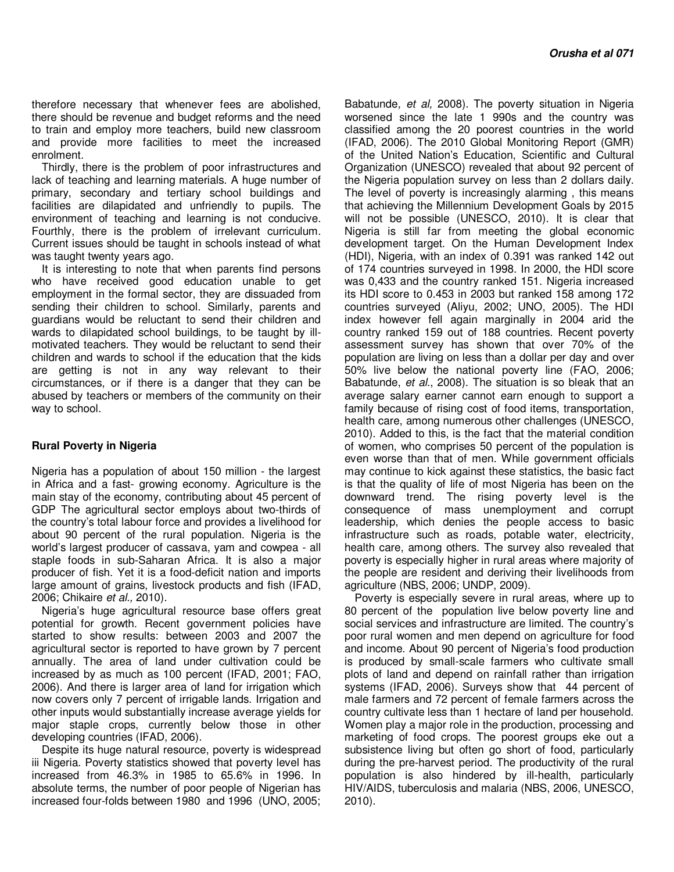therefore necessary that whenever fees are abolished, there should be revenue and budget reforms and the need to train and employ more teachers, build new classroom and provide more facilities to meet the increased enrolment.

Thirdly, there is the problem of poor infrastructures and lack of teaching and learning materials. A huge number of primary, secondary and tertiary school buildings and facilities are dilapidated and unfriendly to pupils. The environment of teaching and learning is not conducive. Fourthly, there is the problem of irrelevant curriculum. Current issues should be taught in schools instead of what was taught twenty years ago.

It is interesting to note that when parents find persons who have received good education unable to get employment in the formal sector, they are dissuaded from sending their children to school. Similarly, parents and guardians would be reluctant to send their children and wards to dilapidated school buildings, to be taught by illmotivated teachers. They would be reluctant to send their children and wards to school if the education that the kids are getting is not in any way relevant to their circumstances, or if there is a danger that they can be abused by teachers or members of the community on their way to school.

#### **Rural Poverty in Nigeria**

Nigeria has a population of about 150 million - the largest in Africa and a fast- growing economy. Agriculture is the main stay of the economy, contributing about 45 percent of GDP The agricultural sector employs about two-thirds of the country's total labour force and provides a livelihood for about 90 percent of the rural population. Nigeria is the world's largest producer of cassava, yam and cowpea - all staple foods in sub-Saharan Africa. It is also a major producer of fish. Yet it is a food-deficit nation and imports large amount of grains, livestock products and fish (IFAD, 2006; Chikaire et al., 2010).

Nigeria's huge agricultural resource base offers great potential for growth. Recent government policies have started to show results: between 2003 and 2007 the agricultural sector is reported to have grown by 7 percent annually. The area of land under cultivation could be increased by as much as 100 percent (IFAD, 2001; FAO, 2006). And there is larger area of land for irrigation which now covers only 7 percent of irrigable lands. Irrigation and other inputs would substantially increase average yields for major staple crops, currently below those in other developing countries (IFAD, 2006).

Despite its huge natural resource, poverty is widespread iii Nigeria. Poverty statistics showed that poverty level has increased from 46.3% in 1985 to 65.6% in 1996. In absolute terms, the number of poor people of Nigerian has increased four-folds between 1980 and 1996 (UNO, 2005;

Babatunde, et al, 2008). The poverty situation in Nigeria worsened since the late 1 990s and the country was classified among the 20 poorest countries in the world (IFAD, 2006). The 2010 Global Monitoring Report (GMR) of the United Nation's Education, Scientific and Cultural Organization (UNESCO) revealed that about 92 percent of the Nigeria population survey on less than 2 dollars daily. The level of poverty is increasingly alarming , this means that achieving the Millennium Development Goals by 2015 will not be possible (UNESCO, 2010). It is clear that Nigeria is still far from meeting the global economic development target. On the Human Development Index (HDI), Nigeria, with an index of 0.391 was ranked 142 out of 174 countries surveyed in 1998. In 2000, the HDI score was 0,433 and the country ranked 151. Nigeria increased its HDI score to 0.453 in 2003 but ranked 158 among 172 countries surveyed (Aliyu, 2002; UNO, 2005). The HDI index however fell again marginally in 2004 arid the country ranked 159 out of 188 countries. Recent poverty assessment survey has shown that over 70% of the population are living on less than a dollar per day and over 50% live below the national poverty line (FAO, 2006; Babatunde, et al., 2008). The situation is so bleak that an average salary earner cannot earn enough to support a family because of rising cost of food items, transportation, health care, among numerous other challenges (UNESCO, 2010). Added to this, is the fact that the material condition of women, who comprises 50 percent of the population is even worse than that of men. While government officials may continue to kick against these statistics, the basic fact is that the quality of life of most Nigeria has been on the downward trend. The rising poverty level is the consequence of mass unemployment and corrupt leadership, which denies the people access to basic infrastructure such as roads, potable water, electricity, health care, among others. The survey also revealed that poverty is especially higher in rural areas where majority of the people are resident and deriving their livelihoods from agriculture (NBS, 2006; UNDP, 2009).

Poverty is especially severe in rural areas, where up to 80 percent of the population live below poverty line and social services and infrastructure are limited. The country's poor rural women and men depend on agriculture for food and income. About 90 percent of Nigeria's food production is produced by small-scale farmers who cultivate small plots of land and depend on rainfall rather than irrigation systems (IFAD, 2006). Surveys show that 44 percent of male farmers and 72 percent of female farmers across the country cultivate less than 1 hectare of land per household. Women play a major role in the production, processing and marketing of food crops. The poorest groups eke out a subsistence living but often go short of food, particularly during the pre-harvest period. The productivity of the rural population is also hindered by ill-health, particularly HIV/AIDS, tuberculosis and malaria (NBS, 2006, UNESCO, 2010).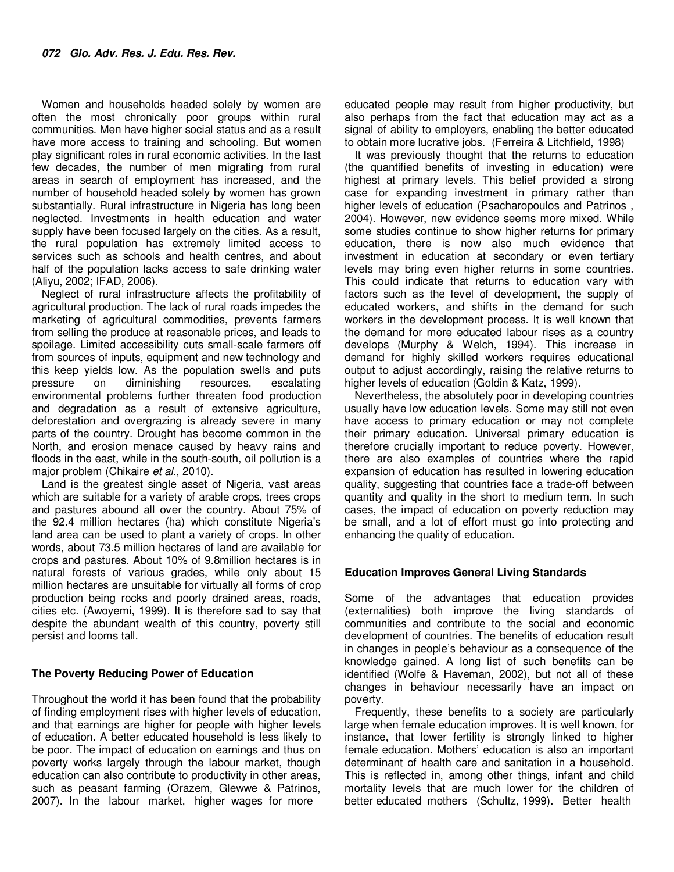Women and households headed solely by women are often the most chronically poor groups within rural communities. Men have higher social status and as a result have more access to training and schooling. But women play significant roles in rural economic activities. In the last few decades, the number of men migrating from rural areas in search of employment has increased, and the number of household headed solely by women has grown substantially. Rural infrastructure in Nigeria has long been neglected. Investments in health education and water supply have been focused largely on the cities. As a result, the rural population has extremely limited access to services such as schools and health centres, and about half of the population lacks access to safe drinking water (Aliyu, 2002; IFAD, 2006).

Neglect of rural infrastructure affects the profitability of agricultural production. The lack of rural roads impedes the marketing of agricultural commodities, prevents farmers from selling the produce at reasonable prices, and leads to spoilage. Limited accessibility cuts small-scale farmers off from sources of inputs, equipment and new technology and this keep yields low. As the population swells and puts pressure on diminishing resources, escalating environmental problems further threaten food production and degradation as a result of extensive agriculture, deforestation and overgrazing is already severe in many parts of the country. Drought has become common in the North, and erosion menace caused by heavy rains and floods in the east, while in the south-south, oil pollution is a major problem (Chikaire et al., 2010).

Land is the greatest single asset of Nigeria, vast areas which are suitable for a variety of arable crops, trees crops and pastures abound all over the country. About 75% of the 92.4 million hectares (ha) which constitute Nigeria's land area can be used to plant a variety of crops. In other words, about 73.5 million hectares of land are available for crops and pastures. About 10% of 9.8million hectares is in natural forests of various grades, while only about 15 million hectares are unsuitable for virtually all forms of crop production being rocks and poorly drained areas, roads, cities etc. (Awoyemi, 1999). It is therefore sad to say that despite the abundant wealth of this country, poverty still persist and looms tall.

## **The Poverty Reducing Power of Education**

Throughout the world it has been found that the probability of finding employment rises with higher levels of education, and that earnings are higher for people with higher levels of education. A better educated household is less likely to be poor. The impact of education on earnings and thus on poverty works largely through the labour market, though education can also contribute to productivity in other areas, such as peasant farming (Orazem, Glewwe & Patrinos, 2007). In the labour market, higher wages for more

educated people may result from higher productivity, but also perhaps from the fact that education may act as a signal of ability to employers, enabling the better educated to obtain more lucrative jobs. (Ferreira & Litchfield, 1998)

It was previously thought that the returns to education (the quantified benefits of investing in education) were highest at primary levels. This belief provided a strong case for expanding investment in primary rather than higher levels of education (Psacharopoulos and Patrinos , 2004). However, new evidence seems more mixed. While some studies continue to show higher returns for primary education, there is now also much evidence that investment in education at secondary or even tertiary levels may bring even higher returns in some countries. This could indicate that returns to education vary with factors such as the level of development, the supply of educated workers, and shifts in the demand for such workers in the development process. It is well known that the demand for more educated labour rises as a country develops (Murphy & Welch, 1994). This increase in demand for highly skilled workers requires educational output to adjust accordingly, raising the relative returns to higher levels of education (Goldin & Katz, 1999).

Nevertheless, the absolutely poor in developing countries usually have low education levels. Some may still not even have access to primary education or may not complete their primary education. Universal primary education is therefore crucially important to reduce poverty. However, there are also examples of countries where the rapid expansion of education has resulted in lowering education quality, suggesting that countries face a trade-off between quantity and quality in the short to medium term. In such cases, the impact of education on poverty reduction may be small, and a lot of effort must go into protecting and enhancing the quality of education.

#### **Education Improves General Living Standards**

Some of the advantages that education provides (externalities) both improve the living standards of communities and contribute to the social and economic development of countries. The benefits of education result in changes in people's behaviour as a consequence of the knowledge gained. A long list of such benefits can be identified (Wolfe & Haveman, 2002), but not all of these changes in behaviour necessarily have an impact on poverty.

Frequently, these benefits to a society are particularly large when female education improves. It is well known, for instance, that lower fertility is strongly linked to higher female education. Mothers' education is also an important determinant of health care and sanitation in a household. This is reflected in, among other things, infant and child mortality levels that are much lower for the children of better educated mothers (Schultz, 1999). Better health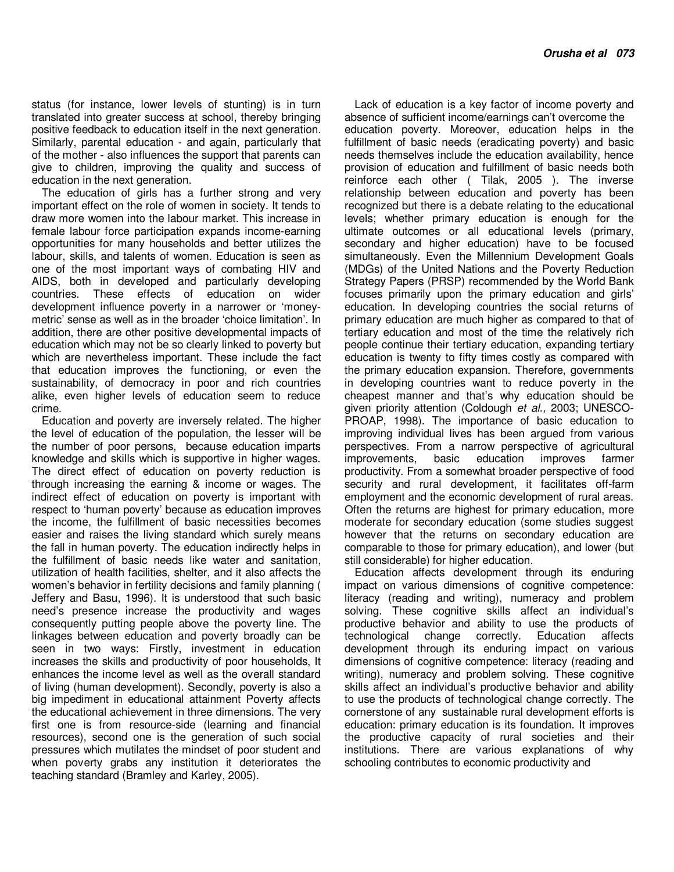status (for instance, lower levels of stunting) is in turn translated into greater success at school, thereby bringing positive feedback to education itself in the next generation. Similarly, parental education - and again, particularly that of the mother - also influences the support that parents can give to children, improving the quality and success of education in the next generation.

The education of girls has a further strong and very important effect on the role of women in society. It tends to draw more women into the labour market. This increase in female labour force participation expands income-earning opportunities for many households and better utilizes the labour, skills, and talents of women. Education is seen as one of the most important ways of combating HIV and AIDS, both in developed and particularly developing countries. These effects of education on wider development influence poverty in a narrower or 'moneymetric' sense as well as in the broader 'choice limitation'. In addition, there are other positive developmental impacts of education which may not be so clearly linked to poverty but which are nevertheless important. These include the fact that education improves the functioning, or even the sustainability, of democracy in poor and rich countries alike, even higher levels of education seem to reduce crime.

Education and poverty are inversely related. The higher the level of education of the population, the lesser will be the number of poor persons, because education imparts knowledge and skills which is supportive in higher wages. The direct effect of education on poverty reduction is through increasing the earning & income or wages. The indirect effect of education on poverty is important with respect to 'human poverty' because as education improves the income, the fulfillment of basic necessities becomes easier and raises the living standard which surely means the fall in human poverty. The education indirectly helps in the fulfillment of basic needs like water and sanitation, utilization of health facilities, shelter, and it also affects the women's behavior in fertility decisions and family planning ( Jeffery and Basu, 1996). It is understood that such basic need's presence increase the productivity and wages consequently putting people above the poverty line. The linkages between education and poverty broadly can be seen in two ways: Firstly, investment in education increases the skills and productivity of poor households, It enhances the income level as well as the overall standard of living (human development). Secondly, poverty is also a big impediment in educational attainment Poverty affects the educational achievement in three dimensions. The very first one is from resource-side (learning and financial resources), second one is the generation of such social pressures which mutilates the mindset of poor student and when poverty grabs any institution it deteriorates the teaching standard (Bramley and Karley, 2005).

Lack of education is a key factor of income poverty and absence of sufficient income/earnings can't overcome the education poverty. Moreover, education helps in the fulfillment of basic needs (eradicating poverty) and basic needs themselves include the education availability, hence provision of education and fulfillment of basic needs both reinforce each other ( Tilak, 2005 ). The inverse relationship between education and poverty has been recognized but there is a debate relating to the educational levels; whether primary education is enough for the ultimate outcomes or all educational levels (primary, secondary and higher education) have to be focused simultaneously. Even the Millennium Development Goals (MDGs) of the United Nations and the Poverty Reduction Strategy Papers (PRSP) recommended by the World Bank focuses primarily upon the primary education and girls' education. In developing countries the social returns of primary education are much higher as compared to that of tertiary education and most of the time the relatively rich people continue their tertiary education, expanding tertiary education is twenty to fifty times costly as compared with the primary education expansion. Therefore, governments in developing countries want to reduce poverty in the cheapest manner and that's why education should be given priority attention (Coldough et al., 2003; UNESCO-PROAP, 1998). The importance of basic education to improving individual lives has been argued from various perspectives. From a narrow perspective of agricultural improvements, basic education improves farmer productivity. From a somewhat broader perspective of food security and rural development, it facilitates off-farm employment and the economic development of rural areas. Often the returns are highest for primary education, more moderate for secondary education (some studies suggest however that the returns on secondary education are comparable to those for primary education), and lower (but still considerable) for higher education.

Education affects development through its enduring impact on various dimensions of cognitive competence: literacy (reading and writing), numeracy and problem solving. These cognitive skills affect an individual's productive behavior and ability to use the products of technological change correctly. Education affects development through its enduring impact on various dimensions of cognitive competence: literacy (reading and writing), numeracy and problem solving. These cognitive skills affect an individual's productive behavior and ability to use the products of technological change correctly. The cornerstone of any sustainable rural development efforts is education: primary education is its foundation. It improves the productive capacity of rural societies and their institutions. There are various explanations of why schooling contributes to economic productivity and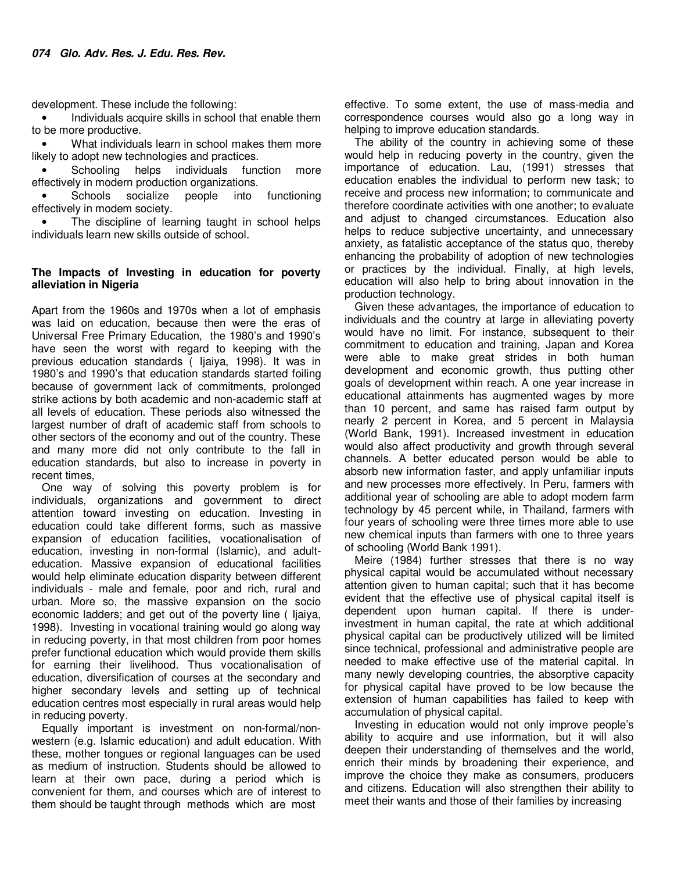development. These include the following:

Individuals acquire skills in school that enable them to be more productive.

• What individuals learn in school makes them more likely to adopt new technologies and practices.

Schooling helps individuals function more effectively in modern production organizations.

Schools socialize people into functioning effectively in modem society.

The discipline of learning taught in school helps individuals learn new skills outside of school.

## **The Impacts of Investing in education for poverty alleviation in Nigeria**

Apart from the 1960s and 1970s when a lot of emphasis was laid on education, because then were the eras of Universal Free Primary Education, the 1980's and 1990's have seen the worst with regard to keeping with the previous education standards ( Ijaiya, 1998). It was in 1980's and 1990's that education standards started foiling because of government lack of commitments, prolonged strike actions by both academic and non-academic staff at all levels of education. These periods also witnessed the largest number of draft of academic staff from schools to other sectors of the economy and out of the country. These and many more did not only contribute to the fall in education standards, but also to increase in poverty in recent times,

One way of solving this poverty problem is for individuals, organizations and government to direct attention toward investing on education. Investing in education could take different forms, such as massive expansion of education facilities, vocationalisation of education, investing in non-formal (Islamic), and adulteducation. Massive expansion of educational facilities would help eliminate education disparity between different individuals - male and female, poor and rich, rural and urban. More so, the massive expansion on the socio economic ladders; and get out of the poverty line ( Ijaiya, 1998). Investing in vocational training would go along way in reducing poverty, in that most children from poor homes prefer functional education which would provide them skills for earning their livelihood. Thus vocationalisation of education, diversification of courses at the secondary and higher secondary levels and setting up of technical education centres most especially in rural areas would help in reducing poverty.

Equally important is investment on non-formal/nonwestern (e.g. Islamic education) and adult education. With these, mother tongues or regional languages can be used as medium of instruction. Students should be allowed to learn at their own pace, during a period which is convenient for them, and courses which are of interest to them should be taught through methods which are most

effective. To some extent, the use of mass-media and correspondence courses would also go a long way in helping to improve education standards.

The ability of the country in achieving some of these would help in reducing poverty in the country, given the importance of education. Lau, (1991) stresses that education enables the individual to perform new task; to receive and process new information; to communicate and therefore coordinate activities with one another; to evaluate and adjust to changed circumstances. Education also helps to reduce subjective uncertainty, and unnecessary anxiety, as fatalistic acceptance of the status quo, thereby enhancing the probability of adoption of new technologies or practices by the individual. Finally, at high levels, education will also help to bring about innovation in the production technology.

Given these advantages, the importance of education to individuals and the country at large in alleviating poverty would have no limit. For instance, subsequent to their commitment to education and training, Japan and Korea were able to make great strides in both human development and economic growth, thus putting other goals of development within reach. A one year increase in educational attainments has augmented wages by more than 10 percent, and same has raised farm output by nearly 2 percent in Korea, and 5 percent in Malaysia (World Bank, 1991). Increased investment in education would also affect productivity and growth through several channels. A better educated person would be able to absorb new information faster, and apply unfamiliar inputs and new processes more effectively. In Peru, farmers with additional year of schooling are able to adopt modem farm technology by 45 percent while, in Thailand, farmers with four years of schooling were three times more able to use new chemical inputs than farmers with one to three years of schooling (World Bank 1991).

Meire (1984) further stresses that there is no way physical capital would be accumulated without necessary attention given to human capital; such that it has become evident that the effective use of physical capital itself is dependent upon human capital. If there is underinvestment in human capital, the rate at which additional physical capital can be productively utilized will be limited since technical, professional and administrative people are needed to make effective use of the material capital. In many newly developing countries, the absorptive capacity for physical capital have proved to be low because the extension of human capabilities has failed to keep with accumulation of physical capital.

Investing in education would not only improve people's ability to acquire and use information, but it will also deepen their understanding of themselves and the world, enrich their minds by broadening their experience, and improve the choice they make as consumers, producers and citizens. Education will also strengthen their ability to meet their wants and those of their families by increasing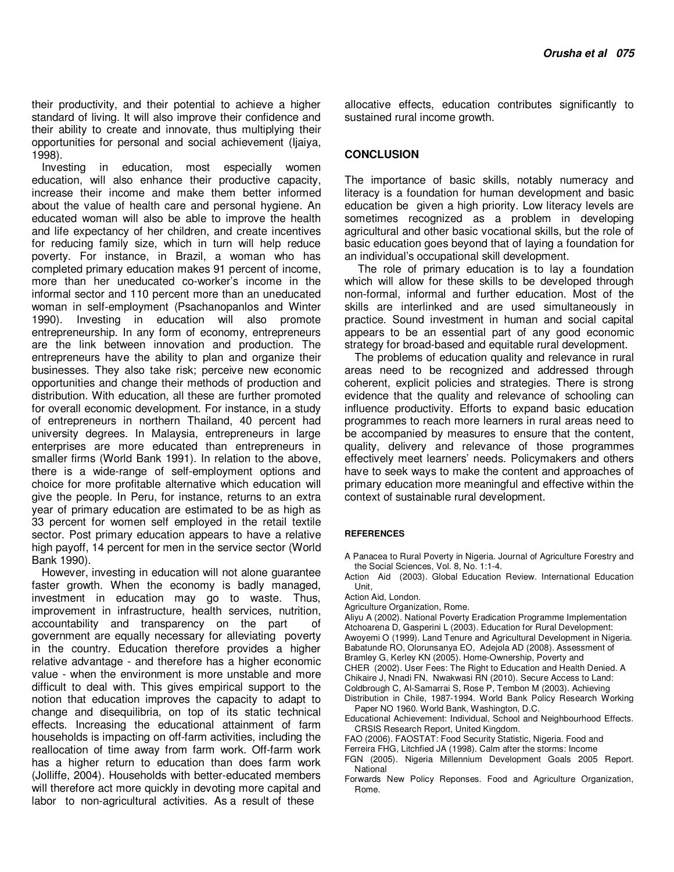their productivity, and their potential to achieve a higher standard of living. It will also improve their confidence and their ability to create and innovate, thus multiplying their opportunities for personal and social achievement (Ijaiya, 1998).

Investing in education, most especially women education, will also enhance their productive capacity, increase their income and make them better informed about the value of health care and personal hygiene. An educated woman will also be able to improve the health and life expectancy of her children, and create incentives for reducing family size, which in turn will help reduce poverty. For instance, in Brazil, a woman who has completed primary education makes 91 percent of income, more than her uneducated co-worker's income in the informal sector and 110 percent more than an uneducated woman in self-employment (Psachanopanlos and Winter 1990). Investing in education will also promote entrepreneurship. In any form of economy, entrepreneurs are the link between innovation and production. The entrepreneurs have the ability to plan and organize their businesses. They also take risk; perceive new economic opportunities and change their methods of production and distribution. With education, all these are further promoted for overall economic development. For instance, in a study of entrepreneurs in northern Thailand, 40 percent had university degrees. In Malaysia, entrepreneurs in large enterprises are more educated than entrepreneurs in smaller firms (World Bank 1991). In relation to the above, there is a wide-range of self-employment options and choice for more profitable alternative which education will give the people. In Peru, for instance, returns to an extra year of primary education are estimated to be as high as 33 percent for women self employed in the retail textile sector. Post primary education appears to have a relative high payoff, 14 percent for men in the service sector (World Bank 1990).

However, investing in education will not alone guarantee faster growth. When the economy is badly managed, investment in education may go to waste. Thus, improvement in infrastructure, health services, nutrition, accountability and transparency on the part of government are equally necessary for alleviating poverty in the country. Education therefore provides a higher relative advantage - and therefore has a higher economic value - when the environment is more unstable and more difficult to deal with. This gives empirical support to the notion that education improves the capacity to adapt to change and disequilibria, on top of its static technical effects. Increasing the educational attainment of farm households is impacting on off-farm activities, including the reallocation of time away from farm work. Off-farm work has a higher return to education than does farm work (Jolliffe, 2004). Households with better-educated members will therefore act more quickly in devoting more capital and labor to non-agricultural activities. As a result of these

allocative effects, education contributes significantly to sustained rural income growth.

#### **CONCLUSION**

The importance of basic skills, notably numeracy and literacy is a foundation for human development and basic education be given a high priority. Low literacy levels are sometimes recognized as a problem in developing agricultural and other basic vocational skills, but the role of basic education goes beyond that of laying a foundation for an individual's occupational skill development.

 The role of primary education is to lay a foundation which will allow for these skills to be developed through non-formal, informal and further education. Most of the skills are interlinked and are used simultaneously in practice. Sound investment in human and social capital appears to be an essential part of any good economic strategy for broad-based and equitable rural development.

The problems of education quality and relevance in rural areas need to be recognized and addressed through coherent, explicit policies and strategies. There is strong evidence that the quality and relevance of schooling can influence productivity. Efforts to expand basic education programmes to reach more learners in rural areas need to be accompanied by measures to ensure that the content, quality, delivery and relevance of those programmes effectively meet learners' needs. Policymakers and others have to seek ways to make the content and approaches of primary education more meaningful and effective within the context of sustainable rural development.

#### **REFERENCES**

A Panacea to Rural Poverty in Nigeria. Journal of Agriculture Forestry and the Social Sciences, Vol. 8, No. 1:1-4.

Action Aid (2003). Global Education Review. International Education Unit,

- Action Aid, London.
- Agriculture Organization, Rome.

Aliyu A (2002). National Poverty Eradication Programme Implementation Atchoarena D, Gasperini L (2003). Education for Rural Development: Awoyemi O (1999). Land Tenure and Agricultural Development in Nigeria. Babatunde RO, Olorunsanya EO, Adejola AD (2008). Assessment of

- Bramley G, Kerley KN (2005). Home-Ownership, Poverty and
- CHER (2002). User Fees: The Right to Education and Health Denied. A
- Chikaire J, Nnadi FN, Nwakwasi RN (2010). Secure Access to Land:
- Coldbrough C, Al-Samarrai S, Rose P, Tembon M (2003). Achieving
- Distribution in Chile, 1987-1994. World Bank Policy Research Working Paper NO 1960. World Bank, Washington, D.C.
- Educational Achievement: Individual, School and Neighbourhood Effects. CRSIS Research Report, United Kingdom.
- FAO (2006). FAOSTAT: Food Security Statistic, Nigeria. Food and
- Ferreira FHG, Litchfied JA (1998). Calm after the storms: Income
- FGN (2005). Nigeria Millennium Development Goals 2005 Report. **National**
- Forwards New Policy Reponses. Food and Agriculture Organization, Rome.